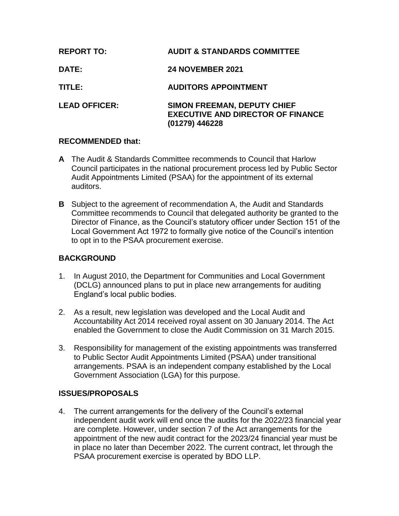| <b>REPORT TO:</b>    | <b>AUDIT &amp; STANDARDS COMMITTEE</b>                                                           |
|----------------------|--------------------------------------------------------------------------------------------------|
| <b>DATE:</b>         | <b>24 NOVEMBER 2021</b>                                                                          |
| TITLE:               | <b>AUDITORS APPOINTMENT</b>                                                                      |
| <b>LEAD OFFICER:</b> | <b>SIMON FREEMAN, DEPUTY CHIEF</b><br><b>EXECUTIVE AND DIRECTOR OF FINANCE</b><br>(01279) 446228 |

## **RECOMMENDED that:**

- **A** The Audit & Standards Committee recommends to Council that Harlow Council participates in the national procurement process led by Public Sector Audit Appointments Limited (PSAA) for the appointment of its external auditors.
- **B** Subject to the agreement of recommendation A, the Audit and Standards Committee recommends to Council that delegated authority be granted to the Director of Finance, as the Council's statutory officer under Section 151 of the Local Government Act 1972 to formally give notice of the Council's intention to opt in to the PSAA procurement exercise.

# **BACKGROUND**

- 1. In August 2010, the Department for Communities and Local Government (DCLG) announced plans to put in place new arrangements for auditing England's local public bodies.
- 2. As a result, new legislation was developed and the Local Audit and Accountability Act 2014 received royal assent on 30 January 2014. The Act enabled the Government to close the Audit Commission on 31 March 2015.
- 3. Responsibility for management of the existing appointments was transferred to Public Sector Audit Appointments Limited (PSAA) under transitional arrangements. PSAA is an independent company established by the Local Government Association (LGA) for this purpose.

## **ISSUES/PROPOSALS**

4. The current arrangements for the delivery of the Council's external independent audit work will end once the audits for the 2022/23 financial year are complete. However, under section 7 of the Act arrangements for the appointment of the new audit contract for the 2023/24 financial year must be in place no later than December 2022. The current contract, let through the PSAA procurement exercise is operated by BDO LLP.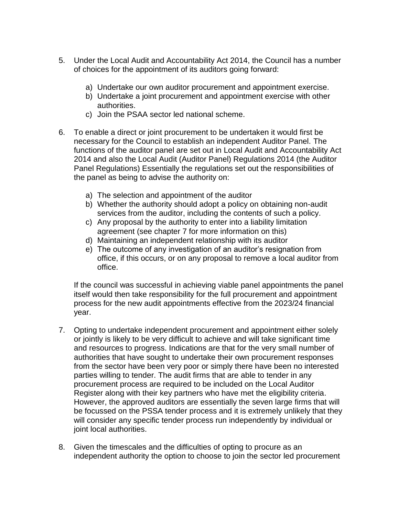- 5. Under the Local Audit and Accountability Act 2014, the Council has a number of choices for the appointment of its auditors going forward:
	- a) Undertake our own auditor procurement and appointment exercise.
	- b) Undertake a joint procurement and appointment exercise with other authorities.
	- c) Join the PSAA sector led national scheme.
- 6. To enable a direct or joint procurement to be undertaken it would first be necessary for the Council to establish an independent Auditor Panel. The functions of the auditor panel are set out in Local Audit and Accountability Act 2014 and also the Local Audit (Auditor Panel) Regulations 2014 (the Auditor Panel Regulations) Essentially the regulations set out the responsibilities of the panel as being to advise the authority on:
	- a) The selection and appointment of the auditor
	- b) Whether the authority should adopt a policy on obtaining non-audit services from the auditor, including the contents of such a policy.
	- c) Any proposal by the authority to enter into a liability limitation agreement (see chapter 7 for more information on this)
	- d) Maintaining an independent relationship with its auditor
	- e) The outcome of any investigation of an auditor's resignation from office, if this occurs, or on any proposal to remove a local auditor from office.

If the council was successful in achieving viable panel appointments the panel itself would then take responsibility for the full procurement and appointment process for the new audit appointments effective from the 2023/24 financial year.

- 7. Opting to undertake independent procurement and appointment either solely or jointly is likely to be very difficult to achieve and will take significant time and resources to progress. Indications are that for the very small number of authorities that have sought to undertake their own procurement responses from the sector have been very poor or simply there have been no interested parties willing to tender. The audit firms that are able to tender in any procurement process are required to be included on the Local Auditor Register along with their key partners who have met the eligibility criteria. However, the approved auditors are essentially the seven large firms that will be focussed on the PSSA tender process and it is extremely unlikely that they will consider any specific tender process run independently by individual or joint local authorities.
- 8. Given the timescales and the difficulties of opting to procure as an independent authority the option to choose to join the sector led procurement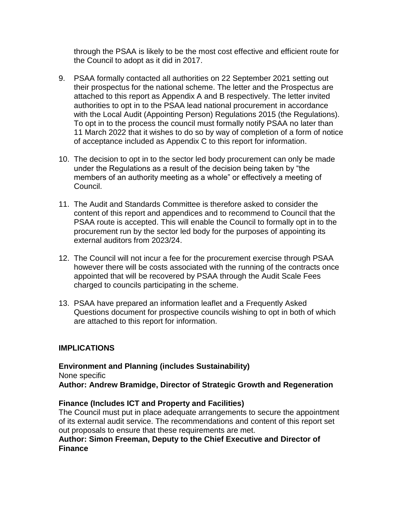through the PSAA is likely to be the most cost effective and efficient route for the Council to adopt as it did in 2017.

- 9. PSAA formally contacted all authorities on 22 September 2021 setting out their prospectus for the national scheme. The letter and the Prospectus are attached to this report as Appendix A and B respectively. The letter invited authorities to opt in to the PSAA lead national procurement in accordance with the Local Audit (Appointing Person) Regulations 2015 (the Regulations). To opt in to the process the council must formally notify PSAA no later than 11 March 2022 that it wishes to do so by way of completion of a form of notice of acceptance included as Appendix C to this report for information.
- 10. The decision to opt in to the sector led body procurement can only be made under the Regulations as a result of the decision being taken by "the members of an authority meeting as a whole" or effectively a meeting of Council.
- 11. The Audit and Standards Committee is therefore asked to consider the content of this report and appendices and to recommend to Council that the PSAA route is accepted. This will enable the Council to formally opt in to the procurement run by the sector led body for the purposes of appointing its external auditors from 2023/24.
- 12. The Council will not incur a fee for the procurement exercise through PSAA however there will be costs associated with the running of the contracts once appointed that will be recovered by PSAA through the Audit Scale Fees charged to councils participating in the scheme.
- 13. PSAA have prepared an information leaflet and a Frequently Asked Questions document for prospective councils wishing to opt in both of which are attached to this report for information.

## **IMPLICATIONS**

**Environment and Planning (includes Sustainability)** None specific **Author: Andrew Bramidge, Director of Strategic Growth and Regeneration**

## **Finance (Includes ICT and Property and Facilities)**

The Council must put in place adequate arrangements to secure the appointment of its external audit service. The recommendations and content of this report set out proposals to ensure that these requirements are met.

### **Author: Simon Freeman, Deputy to the Chief Executive and Director of Finance**